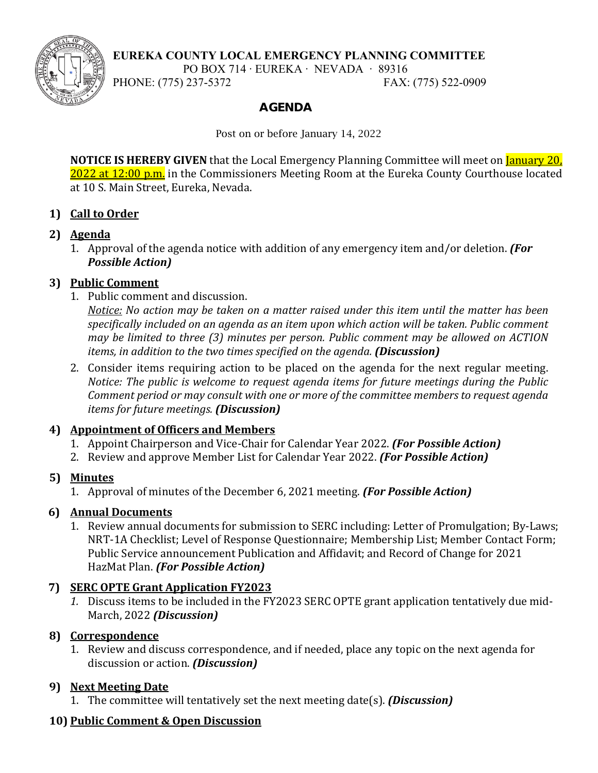

### **EUREKA COUNTY LOCAL EMERGENCY PLANNING COMMITTEE**

PO BOX 714 ∙ EUREKA ∙ NEVADA ∙ 89316

PHONE: (775) 237-5372 FAX: (775) 522-0909

### AGENDA

Post on or before January 14, 2022

**NOTICE IS HEREBY GIVEN** that the Local Emergency Planning Committee will meet on *lanuary 20* 2022 at 12:00 p.m. in the Commissioners Meeting Room at the Eureka County Courthouse located at 10 S. Main Street, Eureka, Nevada.

### **1) Call to Order**

### **2) Agenda**

1. Approval of the agenda notice with addition of any emergency item and/or deletion. *(For Possible Action)*

### **3) Public Comment**

1. Public comment and discussion.

*Notice: No action may be taken on a matter raised under this item until the matter has been specifically included on an agenda as an item upon which action will be taken. Public comment may be limited to three (3) minutes per person. Public comment may be allowed on ACTION items, in addition to the two times specified on the agenda. (Discussion)*

2. Consider items requiring action to be placed on the agenda for the next regular meeting. *Notice: The public is welcome to request agenda items for future meetings during the Public Comment period or may consult with one or more of the committee members to request agenda items for future meetings. (Discussion)*

# **4) Appointment of Officers and Members**

- 1. Appoint Chairperson and Vice-Chair for Calendar Year 2022. *(For Possible Action)*
- 2. Review and approve Member List for Calendar Year 2022. *(For Possible Action)*

### **5) Minutes**

1. Approval of minutes of the December 6, 2021 meeting. *(For Possible Action)*

### **6) Annual Documents**

1. Review annual documents for submission to SERC including: Letter of Promulgation; By-Laws; NRT-1A Checklist; Level of Response Questionnaire; Membership List; Member Contact Form; Public Service announcement Publication and Affidavit; and Record of Change for 2021 HazMat Plan. *(For Possible Action)*

# **7) SERC OPTE Grant Application FY2023**

*1.* Discuss items to be included in the FY2023 SERC OPTE grant application tentatively due mid-March, 2022 *(Discussion)*

### **8) Correspondence**

1. Review and discuss correspondence, and if needed, place any topic on the next agenda for discussion or action. *(Discussion)*

# **9) Next Meeting Date**

1. The committee will tentatively set the next meeting date(s). *(Discussion)*

# **10) Public Comment & Open Discussion**